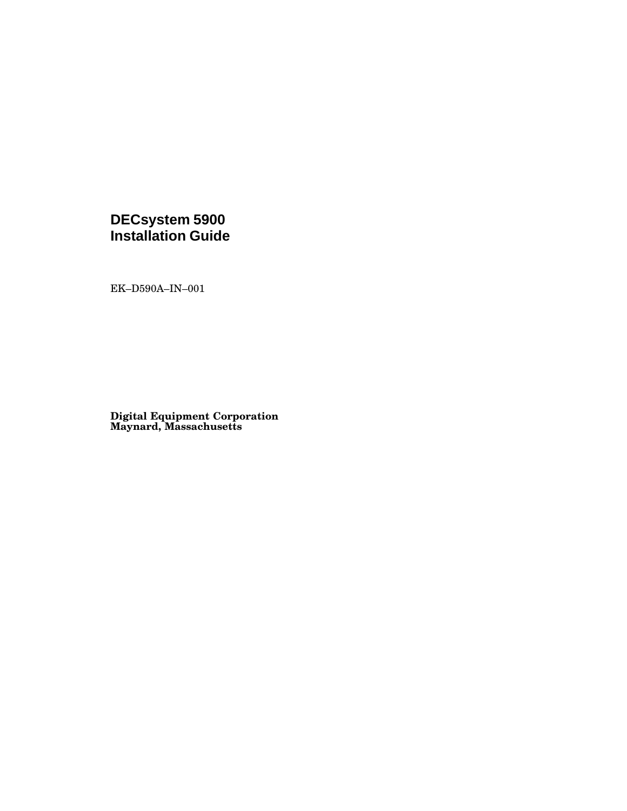## **DECsystem 5900 Installation Guide**

EK–D590A–IN–001

**Digital Equipment Corporation Maynard, Massachusetts**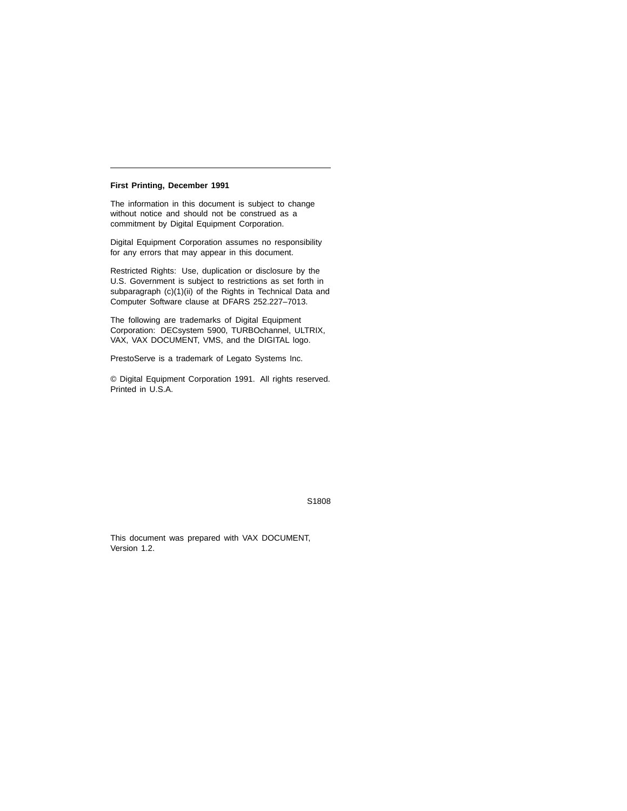#### **First Printing, December 1991**

The information in this document is subject to change without notice and should not be construed as a commitment by Digital Equipment Corporation.

Digital Equipment Corporation assumes no responsibility for any errors that may appear in this document.

Restricted Rights: Use, duplication or disclosure by the U.S. Government is subject to restrictions as set forth in subparagraph (c)(1)(ii) of the Rights in Technical Data and Computer Software clause at DFARS 252.227–7013.

The following are trademarks of Digital Equipment Corporation: DECsystem 5900, TURBOchannel, ULTRIX, VAX, VAX DOCUMENT, VMS, and the DIGITAL logo.

PrestoServe is a trademark of Legato Systems Inc.

© Digital Equipment Corporation 1991. All rights reserved. Printed in U.S.A.

S1808

This document was prepared with VAX DOCUMENT, Version 1.2.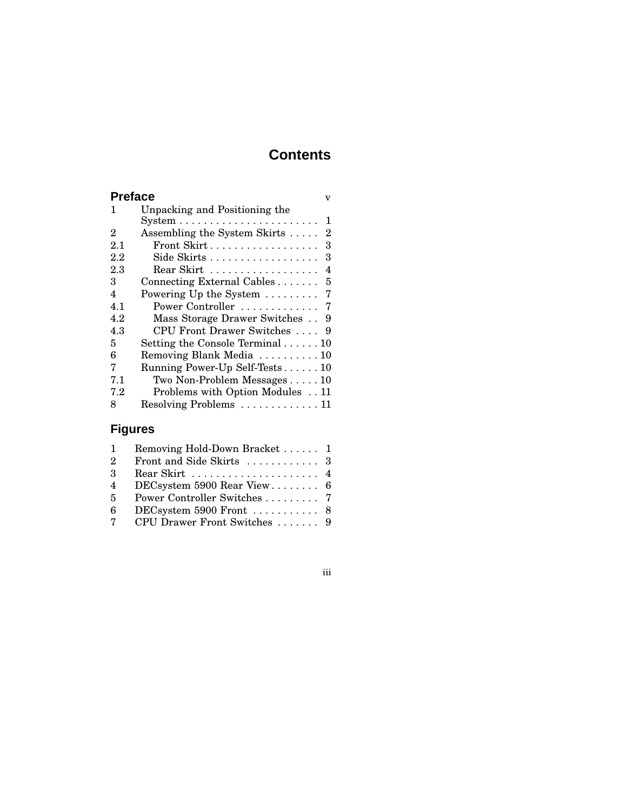# **Contents**

| <b>Preface</b> |                                                 | v   |
|----------------|-------------------------------------------------|-----|
| 1              | Unpacking and Positioning the                   |     |
|                |                                                 | 1   |
| 2              | Assembling the System Skirts                    | 2   |
| 2.1            | Front Skirt                                     | 3   |
| 2.2            | Side Skirts                                     | 3   |
| 2.3            | Rear Skirt                                      | 4   |
| 3              | Connecting External Cables                      | 5   |
| 4              | Powering Up the System                          | - 7 |
| 4.1            | Power Controller  7                             |     |
| 4.2            | Mass Storage Drawer Switches 9                  |     |
| 4.3            | CPU Front Drawer Switches                       | - 9 |
| 5              | Setting the Console Terminal $\ldots \ldots 10$ |     |
| 6              | Removing Blank Media  10                        |     |
| 7              | Running Power-Up Self-Tests 10                  |     |
| 7.1            | Two Non-Problem Messages $\ldots$ . 10          |     |
| 7.2            | Problems with Option Modules 11                 |     |
| 8              | Resolving Problems  11                          |     |

# **Figures**

| $\mathbf{1}$   | Removing Hold-Down Bracket  1                            |  |
|----------------|----------------------------------------------------------|--|
| 2              |                                                          |  |
| $\mathcal{S}$  | Rear Skirt $\ldots \ldots \ldots \ldots \ldots \ldots$ 4 |  |
| $\overline{4}$ | DECsystem 5900 Rear View 6                               |  |
| 5              | Power Controller Switches 7                              |  |
| 6              | DECsystem 5900 Front  8                                  |  |
| $7^{\circ}$    | CPU Drawer Front Switches  9                             |  |

### iii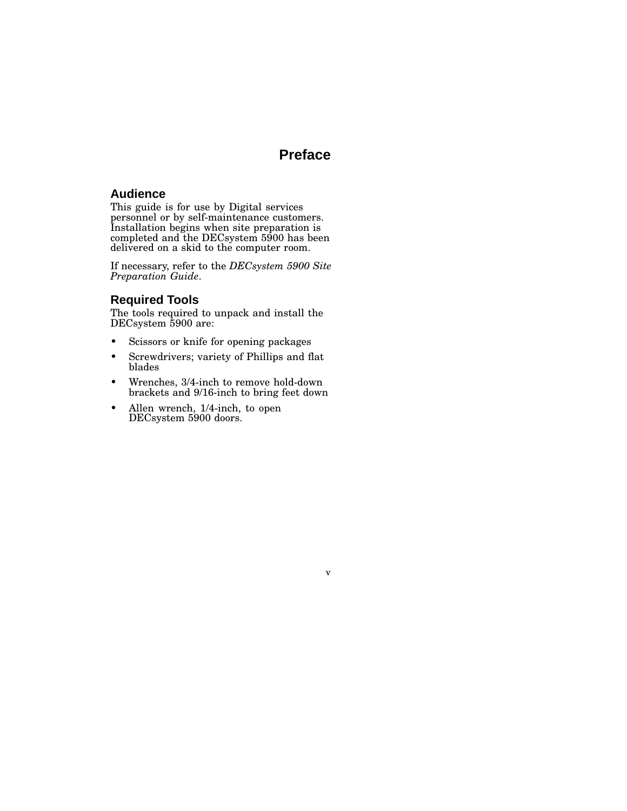# **Preface**

v

### **Audience**

This guide is for use by Digital services personnel or by self-maintenance customers. Installation begins when site preparation is completed and the DECsystem 5900 has been delivered on a skid to the computer room.

If necessary, refer to the *DECsystem 5900 Site Preparation Guide*.

### **Required Tools**

The tools required to unpack and install the DECsystem 5900 are:

- Scissors or knife for opening packages
- Screwdrivers; variety of Phillips and flat blades
- Wrenches, 3/4-inch to remove hold-down brackets and 9/16-inch to bring feet down
- Allen wrench, 1/4-inch, to open DECsystem 5900 doors.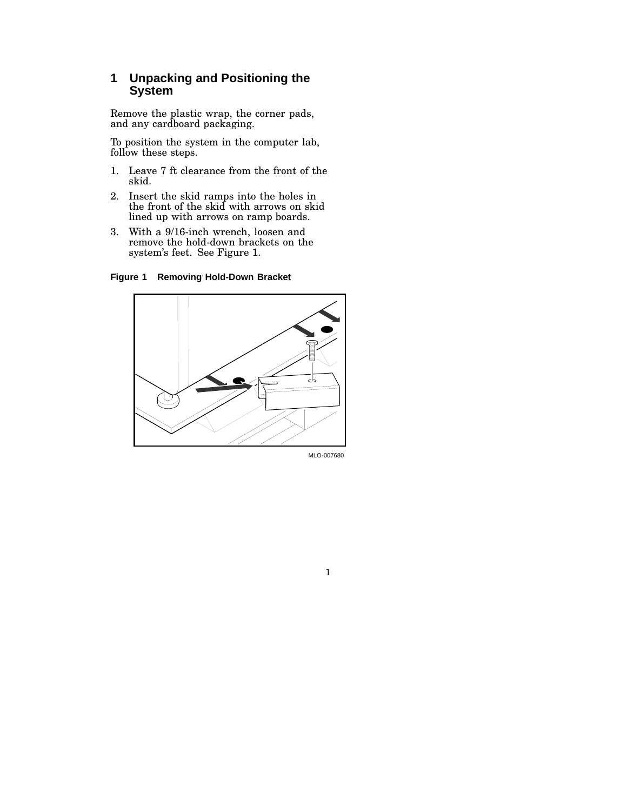### **1 Unpacking and Positioning the System**

Remove the plastic wrap, the corner pads, and any cardboard packaging.

To position the system in the computer lab, follow these steps.

- 1. Leave 7 ft clearance from the front of the skid.
- 2. Insert the skid ramps into the holes in the front of the skid with arrows on skid lined up with arrows on ramp boards.
- 3. With a 9/16-inch wrench, loosen and remove the hold-down brackets on the system's feet. See Figure 1.

**Figure 1 Removing Hold-Down Bracket**



MLO-007680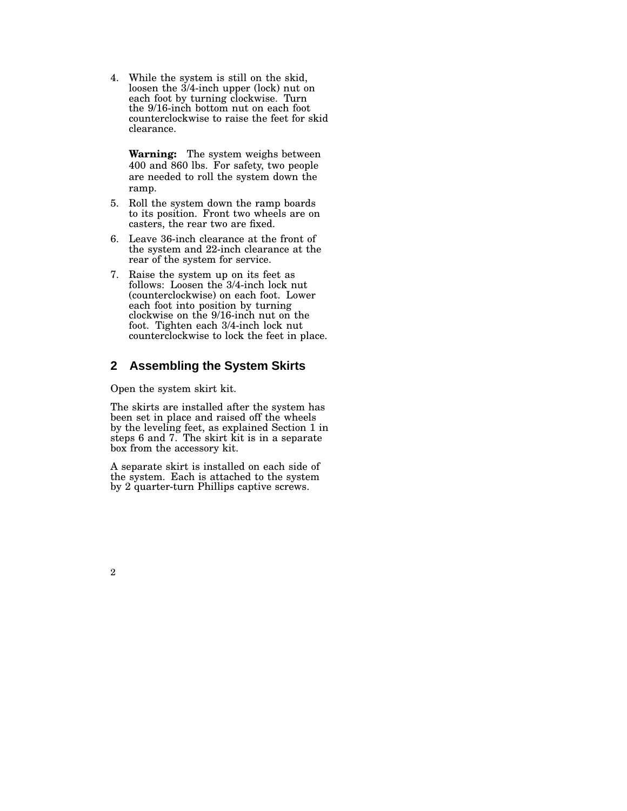4. While the system is still on the skid, loosen the 3/4-inch upper (lock) nut on each foot by turning clockwise. Turn the 9/16-inch bottom nut on each foot counterclockwise to raise the feet for skid clearance.

**Warning:** The system weighs between 400 and 860 lbs. For safety, two people are needed to roll the system down the ramp.

- 5. Roll the system down the ramp boards to its position. Front two wheels are on casters, the rear two are fixed.
- 6. Leave 36-inch clearance at the front of the system and 22-inch clearance at the rear of the system for service.
- 7. Raise the system up on its feet as follows: Loosen the 3/4-inch lock nut (counterclockwise) on each foot. Lower each foot into position by turning clockwise on the 9/16-inch nut on the foot. Tighten each 3/4-inch lock nut counterclockwise to lock the feet in place.

### **2 Assembling the System Skirts**

Open the system skirt kit.

The skirts are installed after the system has been set in place and raised off the wheels by the leveling feet, as explained Section 1 in steps 6 and 7. The skirt kit is in a separate box from the accessory kit.

A separate skirt is installed on each side of the system. Each is attached to the system by 2 quarter-turn Phillips captive screws.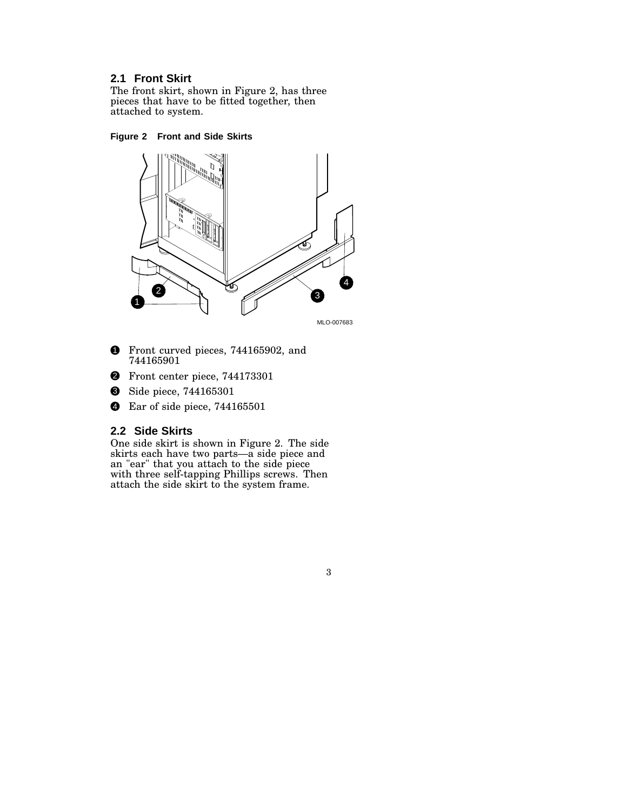### **2.1 Front Skirt**

The front skirt, shown in Figure 2, has three pieces that have to be fitted together, then attached to system.

#### **Figure 2 Front and Side Skirts**



MLO-007683

- **1** Front curved pieces, 744165902, and 744165901
- <sup>2</sup> Front center piece, 744173301
- **3** Side piece, 744165301
- **4** Ear of side piece, 744165501

### **2.2 Side Skirts**

One side skirt is shown in Figure 2. The side skirts each have two parts—a side piece and an "ear" that you attach to the side piece with three self-tapping Phillips screws. Then attach the side skirt to the system frame.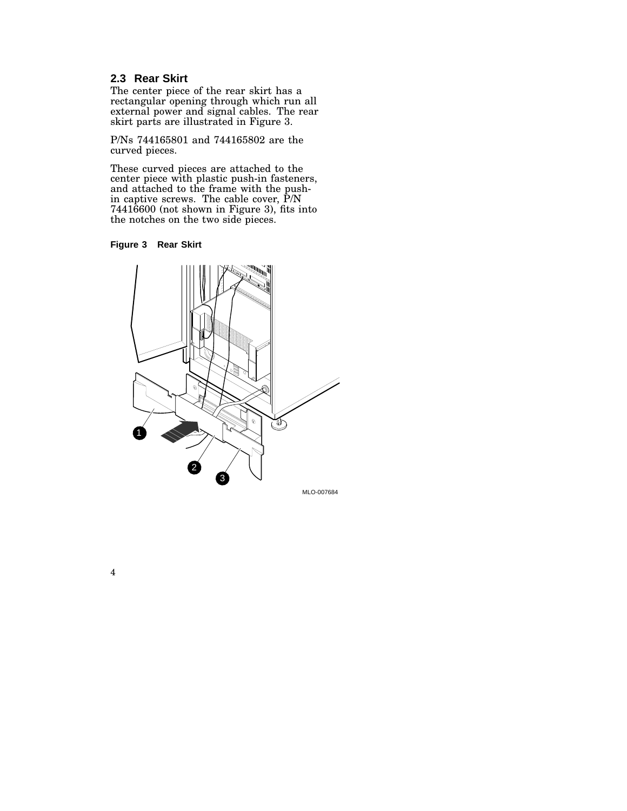### **2.3 Rear Skirt**

The center piece of the rear skirt has a rectangular opening through which run all external power and signal cables. The rear skirt parts are illustrated in Figure 3.

P/Ns 744165801 and 744165802 are the curved pieces.

These curved pieces are attached to the center piece with plastic push-in fasteners, and attached to the frame with the pushin captive screws. The cable cover, P/N 74416600 (not shown in Figure 3), fits into the notches on the two side pieces.



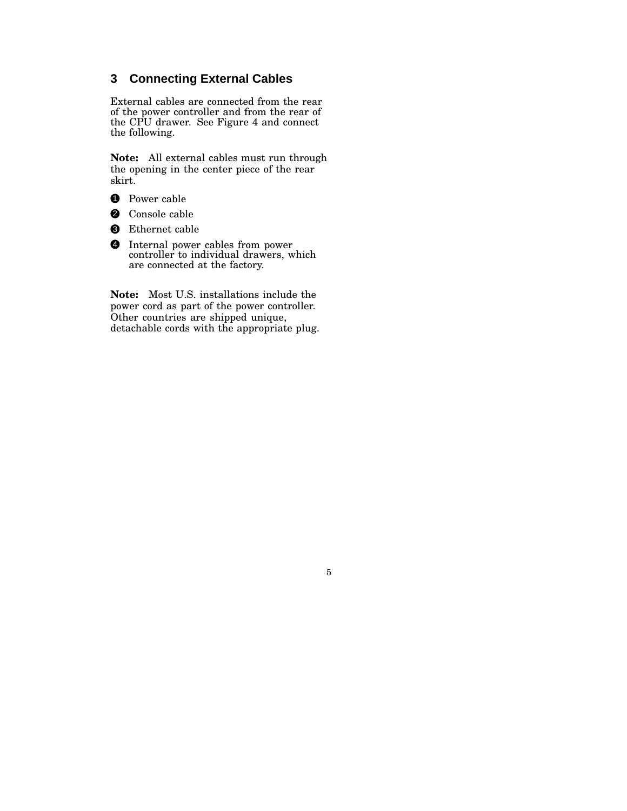### **3 Connecting External Cables**

External cables are connected from the rear of the power controller and from the rear of the CPU drawer. See Figure 4 and connect the following.

**Note:** All external cables must run through the opening in the center piece of the rear skirt.

- **1** Power cable
- **2** Console cable
- <sup>3</sup> Ethernet cable
- 4 Internal power cables from power controller to individual drawers, which are connected at the factory.

**Note:** Most U.S. installations include the power cord as part of the power controller. Other countries are shipped unique, detachable cords with the appropriate plug.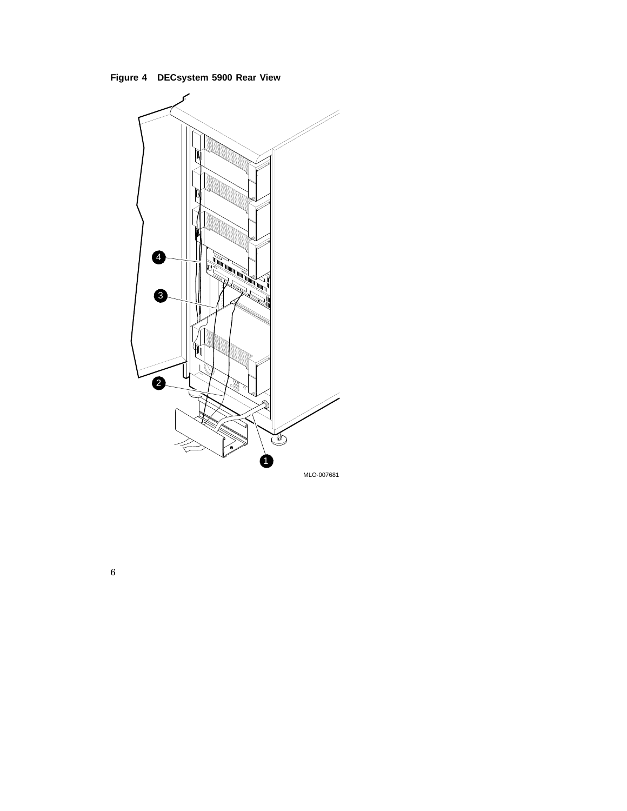**Figure 4 DECsystem 5900 Rear View**

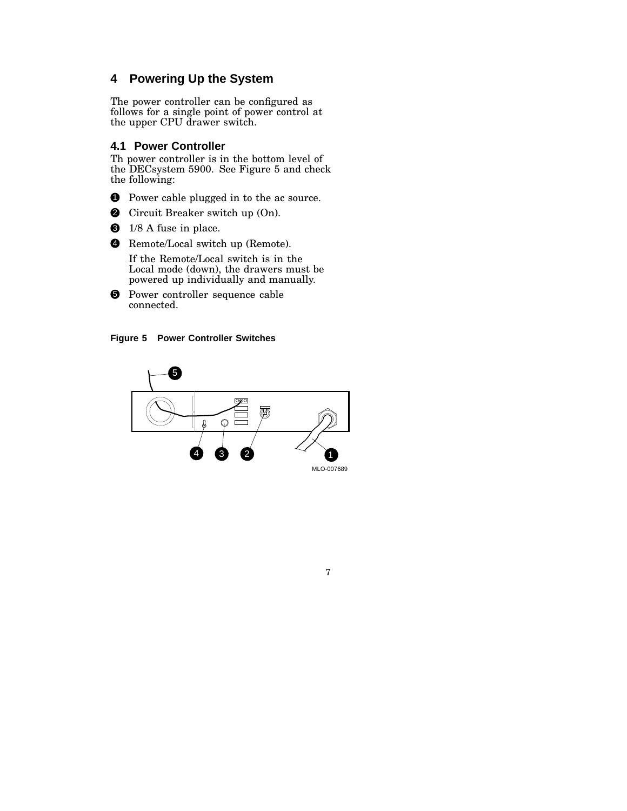## **4 Powering Up the System**

The power controller can be configured as follows for a single point of power control at the upper CPU drawer switch.

#### **4.1 Power Controller**

Th power controller is in the bottom level of the DECsystem 5900. See Figure 5 and check the following:

- **1** Power cable plugged in to the ac source.
- 2 Circuit Breaker switch up (On).
- $\bullet$  1/8 A fuse in place.
- 4 Remote/Local switch up (Remote).

If the Remote/Local switch is in the Local mode (down), the drawers must be powered up individually and manually.

5 Power controller sequence cable connected.



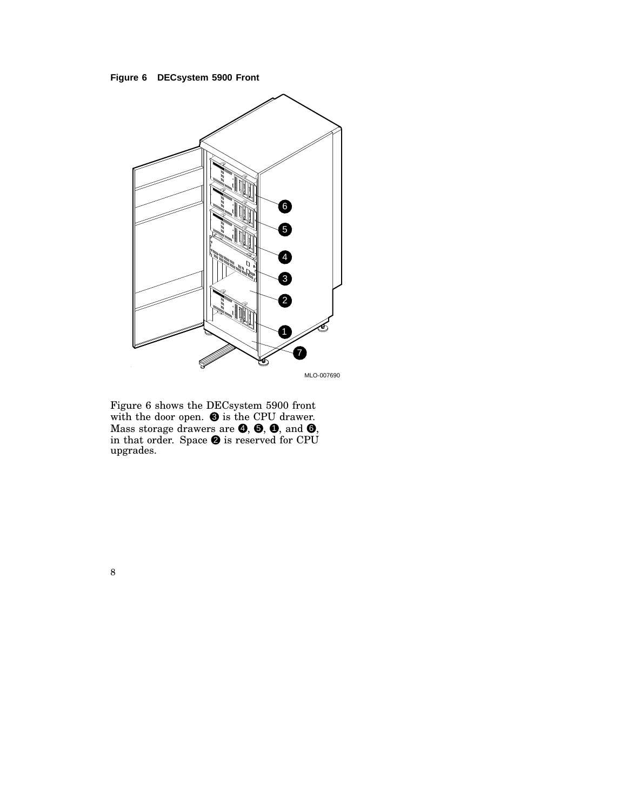



Figure 6 shows the DECsystem 5900 front with the door open.  $\bullet$  is the CPU drawer. Mass storage drawers are  $\bm{\Theta},$   $\bm{\Theta},$   $\bm{\Theta},$  and  $\bm{\Theta},$ in that order. Space  $\bullet$  is reserved for CPU upgrades.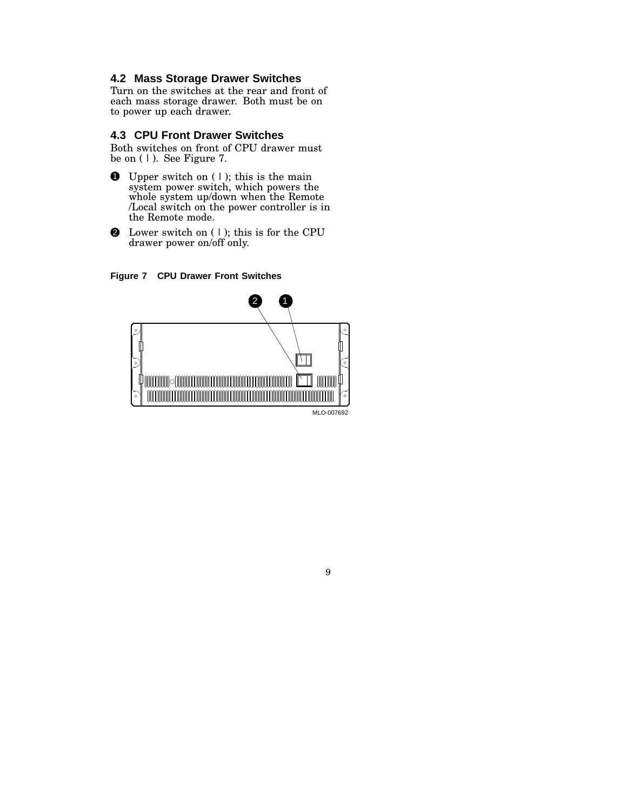### **4.2 Mass Storage Drawer Switches**

Turn on the switches at the rear and front of each mass storage drawer. Both must be on to power up each drawer.

#### **4.3 CPU Front Drawer Switches**

Both switches on front of CPU drawer must be on  $(1)$ . See Figure 7.

- **1** Upper switch on  $( | )$ ; this is the main system power switch, which powers the whole system up/down when the Remote /Local switch on the power controller is in the Remote mode.
- $\bullet$  Lower switch on (1); this is for the CPU drawer power on/off only.





MLO-007692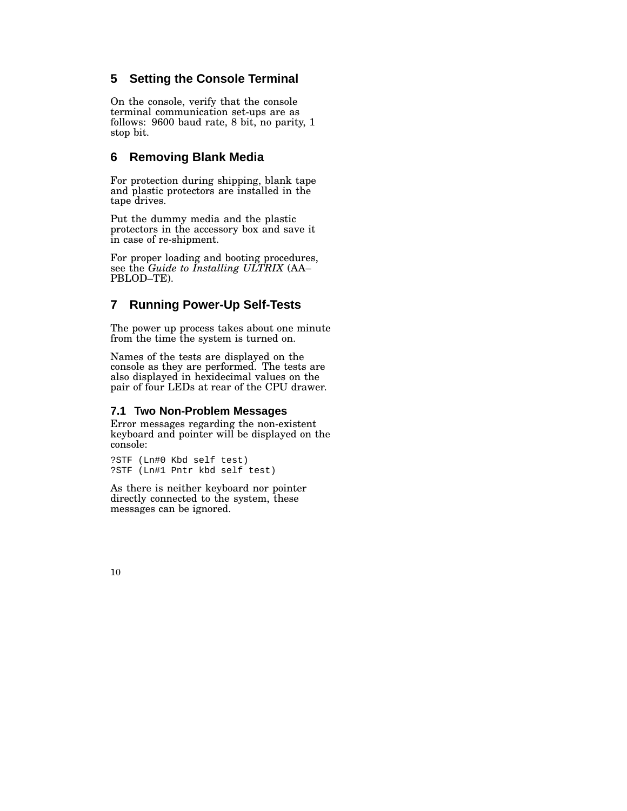### **5 Setting the Console Terminal**

On the console, verify that the console terminal communication set-ups are as follows: 9600 baud rate, 8 bit, no parity, 1 stop bit.

### **6 Removing Blank Media**

For protection during shipping, blank tape and plastic protectors are installed in the tape drives.

Put the dummy media and the plastic protectors in the accessory box and save it in case of re-shipment.

For proper loading and booting procedures, see the *Guide to Installing ULTRIX* (AA– PBLOD–TE).

### **7 Running Power-Up Self-Tests**

The power up process takes about one minute from the time the system is turned on.

Names of the tests are displayed on the console as they are performed. The tests are also displayed in hexidecimal values on the pair of four LEDs at rear of the CPU drawer.

#### **7.1 Two Non-Problem Messages**

Error messages regarding the non-existent keyboard and pointer will be displayed on the console:

?STF (Ln#0 Kbd self test) ?STF (Ln#1 Pntr kbd self test)

As there is neither keyboard nor pointer directly connected to the system, these messages can be ignored.